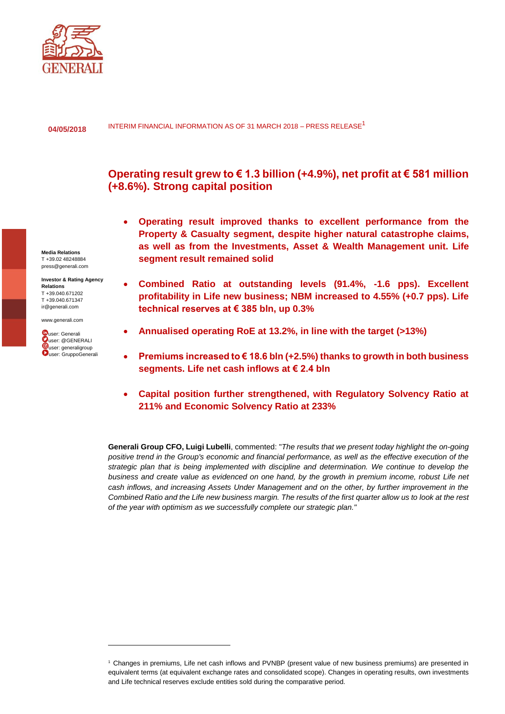

INTERIM FINANCIAL INFORMATION AS OF 31 MARCH 2018 - PRESS RELEASE<sup>1</sup> **04/05/2018**

# **Operating result grew to € 1.3 billion (+4.9%), net profit at € 581 million (+8.6%). Strong capital position**

- **Operating result improved thanks to excellent performance from the Property & Casualty segment, despite higher natural catastrophe claims, as well as from the Investments, Asset & Wealth Management unit. Life segment result remained solid**
- **Combined Ratio at outstanding levels (91.4%, -1.6 pps). Excellent profitability in Life new business; NBM increased to 4.55% (+0.7 pps). Life technical reserves at € 385 bln, up 0.3%**
- **Annualised operating RoE at 13.2%, in line with the target (>13%)**
- **Premiums increased to € 18.6 bln (+2.5%) thanks to growth in both business segments. Life net cash inflows at € 2.4 bln**
- **Capital position further strengthened, with Regulatory Solvency Ratio at 211% and Economic Solvency Ratio at 233%**

**Generali Group CFO, Luigi Lubelli**, commented: "*The results that we present today highlight the on-going positive trend in the Group's economic and financial performance, as well as the effective execution of the strategic plan that is being implemented with discipline and determination. We continue to develop the business and create value as evidenced on one hand, by the growth in premium income, robust Life net cash inflows, and increasing Assets Under Management and on the other, by further improvement in the Combined Ratio and the Life new business margin. The results of the first quarter allow us to look at the rest of the year with optimism as we successfully complete our strategic plan."*

**Media Relations** T +39.02 48248884 press@generali.com

**Investor & Rating Agency Relations** T +39.040.671202 T +39.040.671347 ir@generali.com

[www.generali.com](http://www.generali.com/)



 $\overline{a}$ 

<sup>1</sup> Changes in premiums, Life net cash inflows and PVNBP (present value of new business premiums) are presented in equivalent terms (at equivalent exchange rates and consolidated scope). Changes in operating results, own investments and Life technical reserves exclude entities sold during the comparative period.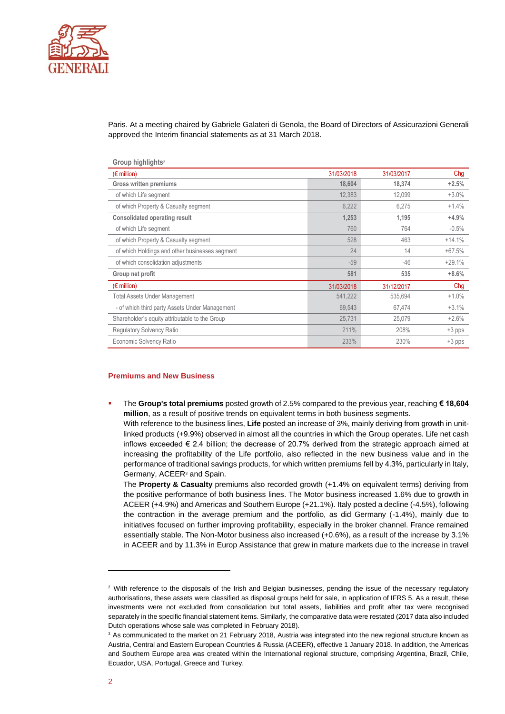

Paris. At a meeting chaired by Gabriele Galateri di Genola, the Board of Directors of Assicurazioni Generali approved the Interim financial statements as at 31 March 2018.

| Group highlights <sup>2</sup>                  |            |            |          |
|------------------------------------------------|------------|------------|----------|
| $(E \text{ million})$                          | 31/03/2018 | 31/03/2017 | Chg      |
| Gross written premiums                         | 18,604     | 18,374     | $+2.5%$  |
| of which Life segment                          | 12,383     | 12,099     | $+3.0%$  |
| of which Property & Casualty segment           | 6,222      | 6,275      | $+1.4%$  |
| <b>Consolidated operating result</b>           | 1,253      | 1,195      | $+4.9%$  |
| of which Life segment                          | 760        | 764        | $-0.5%$  |
| of which Property & Casualty segment           | 528        | 463        | $+14.1%$ |
| of which Holdings and other businesses segment | 24         | 14         | $+67.5%$ |
| of which consolidation adjustments             | $-59$      | $-46$      | $+29.1%$ |
| Group net profit                               | 581        | 535        | $+8.6%$  |
| $(\epsilon$ million)                           | 31/03/2018 | 31/12/2017 | Chg      |
| <b>Total Assets Under Management</b>           | 541,222    | 535,694    | $+1.0%$  |
| - of which third party Assets Under Management | 69,543     | 67,474     | $+3.1%$  |
| Shareholder's equity attributable to the Group | 25,731     | 25,079     | $+2.6%$  |
| Regulatory Solvency Ratio                      | 211%       | 208%       | $+3$ pps |
| Economic Solvency Ratio                        | 233%       | 230%       | $+3$ pps |

## **Premiums and New Business**

▪ The **Group's total premiums** posted growth of 2.5% compared to the previous year, reaching **€ 18,604 million**, as a result of positive trends on equivalent terms in both business segments. With reference to the business lines, **Life** posted an increase of 3%, mainly deriving from growth in unitlinked products (+9.9%) observed in almost all the countries in which the Group operates. Life net cash inflows exceeded  $\epsilon$  2.4 billion; the decrease of 20.7% derived from the strategic approach aimed at increasing the profitability of the Life portfolio, also reflected in the new business value and in the performance of traditional savings products, for which written premiums fell by 4.3%, particularly in Italy, Germany, ACEER<sup>3</sup> and Spain.

The **Property & Casualty** premiums also recorded growth (+1.4% on equivalent terms) deriving from the positive performance of both business lines. The Motor business increased 1.6% due to growth in ACEER (+4.9%) and Americas and Southern Europe (+21.1%). Italy posted a decline (-4.5%), following the contraction in the average premium and the portfolio, as did Germany (-1.4%), mainly due to initiatives focused on further improving profitability, especially in the broker channel. France remained essentially stable. The Non-Motor business also increased (+0.6%), as a result of the increase by 3.1% in ACEER and by 11.3% in Europ Assistance that grew in mature markets due to the increase in travel

 $\overline{a}$ 

<sup>&</sup>lt;sup>2</sup> With reference to the disposals of the Irish and Belgian businesses, pending the issue of the necessary regulatory authorisations, these assets were classified as disposal groups held for sale, in application of IFRS 5. As a result, these investments were not excluded from consolidation but total assets, liabilities and profit after tax were recognised separately in the specific financial statement items. Similarly, the comparative data were restated (2017 data also included Dutch operations whose sale was completed in February 2018).

<sup>&</sup>lt;sup>3</sup> As communicated to the market on 21 February 2018, Austria was integrated into the new regional structure known as Austria, Central and Eastern European Countries & Russia (ACEER), effective 1 January 2018. In addition, the Americas and Southern Europe area was created within the International regional structure, comprising Argentina, Brazil, Chile, Ecuador, USA, Portugal, Greece and Turkey.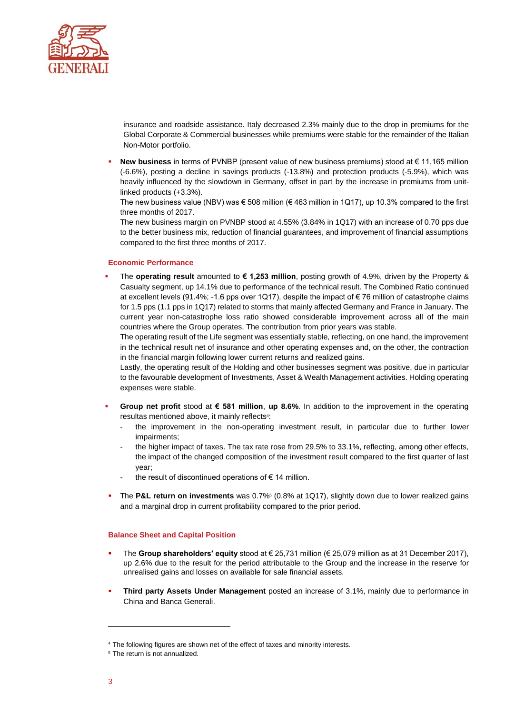

insurance and roadside assistance. Italy decreased 2.3% mainly due to the drop in premiums for the Global Corporate & Commercial businesses while premiums were stable for the remainder of the Italian Non-Motor portfolio.

New business in terms of PVNBP (present value of new business premiums) stood at € 11,165 million (-6.6%), posting a decline in savings products (-13.8%) and protection products (-5.9%), which was heavily influenced by the slowdown in Germany, offset in part by the increase in premiums from unitlinked products (+3.3%).

The new business value (NBV) was  $\epsilon$  508 million ( $\epsilon$  463 million in 1Q17), up 10.3% compared to the first three months of 2017.

The new business margin on PVNBP stood at 4.55% (3.84% in 1Q17) with an increase of 0.70 pps due to the better business mix, reduction of financial guarantees, and improvement of financial assumptions compared to the first three months of 2017.

# **Economic Performance**

▪ The **operating result** amounted to **€ 1,253 million**, posting growth of 4.9%, driven by the Property & Casualty segment, up 14.1% due to performance of the technical result. The Combined Ratio continued at excellent levels (91.4%; -1.6 pps over 1Q17), despite the impact of € 76 million of catastrophe claims for 1.5 pps (1.1 pps in 1Q17) related to storms that mainly affected Germany and France in January. The current year non-catastrophe loss ratio showed considerable improvement across all of the main countries where the Group operates. The contribution from prior years was stable.

The operating result of the Life segment was essentially stable, reflecting, on one hand, the improvement in the technical result net of insurance and other operating expenses and, on the other, the contraction in the financial margin following lower current returns and realized gains.

Lastly, the operating result of the Holding and other businesses segment was positive, due in particular to the favourable development of Investments, Asset & Wealth Management activities. Holding operating expenses were stable.

- **Group net profit** stood at  $\epsilon$  581 million, up 8.6%. In addition to the improvement in the operating resultas mentioned above, it mainly reflects<sup>4</sup>:
	- the improvement in the non-operating investment result, in particular due to further lower impairments;
	- the higher impact of taxes. The tax rate rose from 29.5% to 33.1%, reflecting, among other effects, the impact of the changed composition of the investment result compared to the first quarter of last year;
	- the result of discontinued operations of  $\epsilon$  14 million.
- **The P&L return on investments** was 0.7%<sup>5</sup> (0.8% at 1Q17), slightly down due to lower realized gains and a marginal drop in current profitability compared to the prior period.

## **Balance Sheet and Capital Position**

- The Group shareholders' equity stood at € 25,731 million ( $€$  25,079 million as at 31 December 2017), up 2.6% due to the result for the period attributable to the Group and the increase in the reserve for unrealised gains and losses on available for sale financial assets.
- **Third party Assets Under Management** posted an increase of 3.1%, mainly due to performance in China and Banca Generali.

 $\overline{a}$ 

<sup>4</sup> The following figures are shown net of the effect of taxes and minority interests.

<sup>&</sup>lt;sup>5</sup> The return is not annualized.